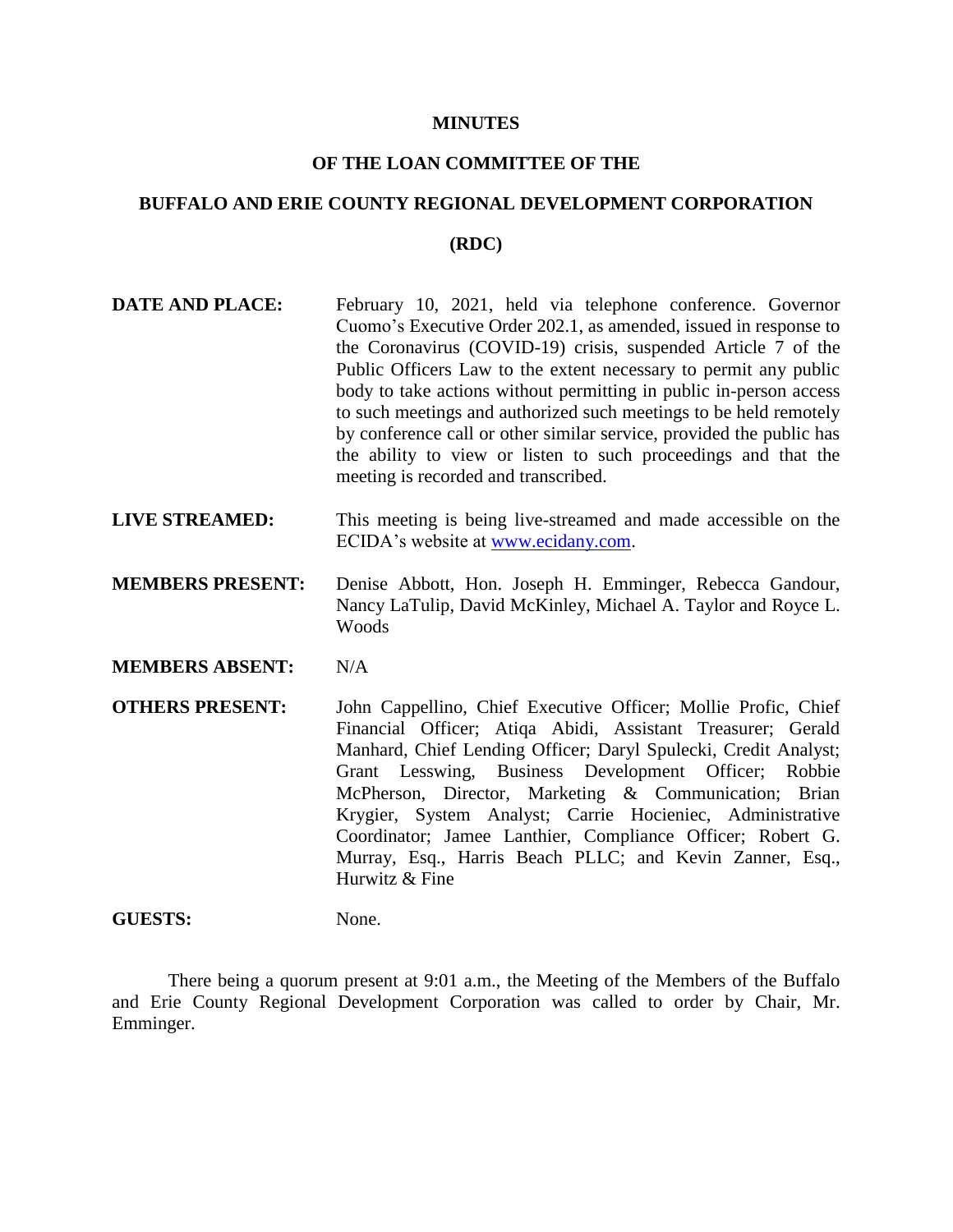#### **MINUTES**

# **OF THE LOAN COMMITTEE OF THE**

# **BUFFALO AND ERIE COUNTY REGIONAL DEVELOPMENT CORPORATION**

#### **(RDC)**

- **DATE AND PLACE:** February 10, 2021, held via telephone conference. Governor Cuomo's Executive Order 202.1, as amended, issued in response to the Coronavirus (COVID-19) crisis, suspended Article 7 of the Public Officers Law to the extent necessary to permit any public body to take actions without permitting in public in-person access to such meetings and authorized such meetings to be held remotely by conference call or other similar service, provided the public has the ability to view or listen to such proceedings and that the meeting is recorded and transcribed.
- **LIVE STREAMED:** This meeting is being live-streamed and made accessible on the ECIDA's website at [www.ecidany.com.](http://www.ecidany.com/)
- **MEMBERS PRESENT:** Denise Abbott, Hon. Joseph H. Emminger, Rebecca Gandour, Nancy LaTulip, David McKinley, Michael A. Taylor and Royce L. Woods

**MEMBERS ABSENT:** N/A

**OTHERS PRESENT:** John Cappellino, Chief Executive Officer; Mollie Profic, Chief Financial Officer; Atiqa Abidi, Assistant Treasurer; Gerald Manhard, Chief Lending Officer; Daryl Spulecki, Credit Analyst; Grant Lesswing, Business Development Officer; Robbie McPherson, Director, Marketing & Communication; Brian Krygier, System Analyst; Carrie Hocieniec, Administrative Coordinator; Jamee Lanthier, Compliance Officer; Robert G. Murray, Esq., Harris Beach PLLC; and Kevin Zanner, Esq., Hurwitz & Fine

## GUESTS: None.

There being a quorum present at 9:01 a.m., the Meeting of the Members of the Buffalo and Erie County Regional Development Corporation was called to order by Chair, Mr. Emminger.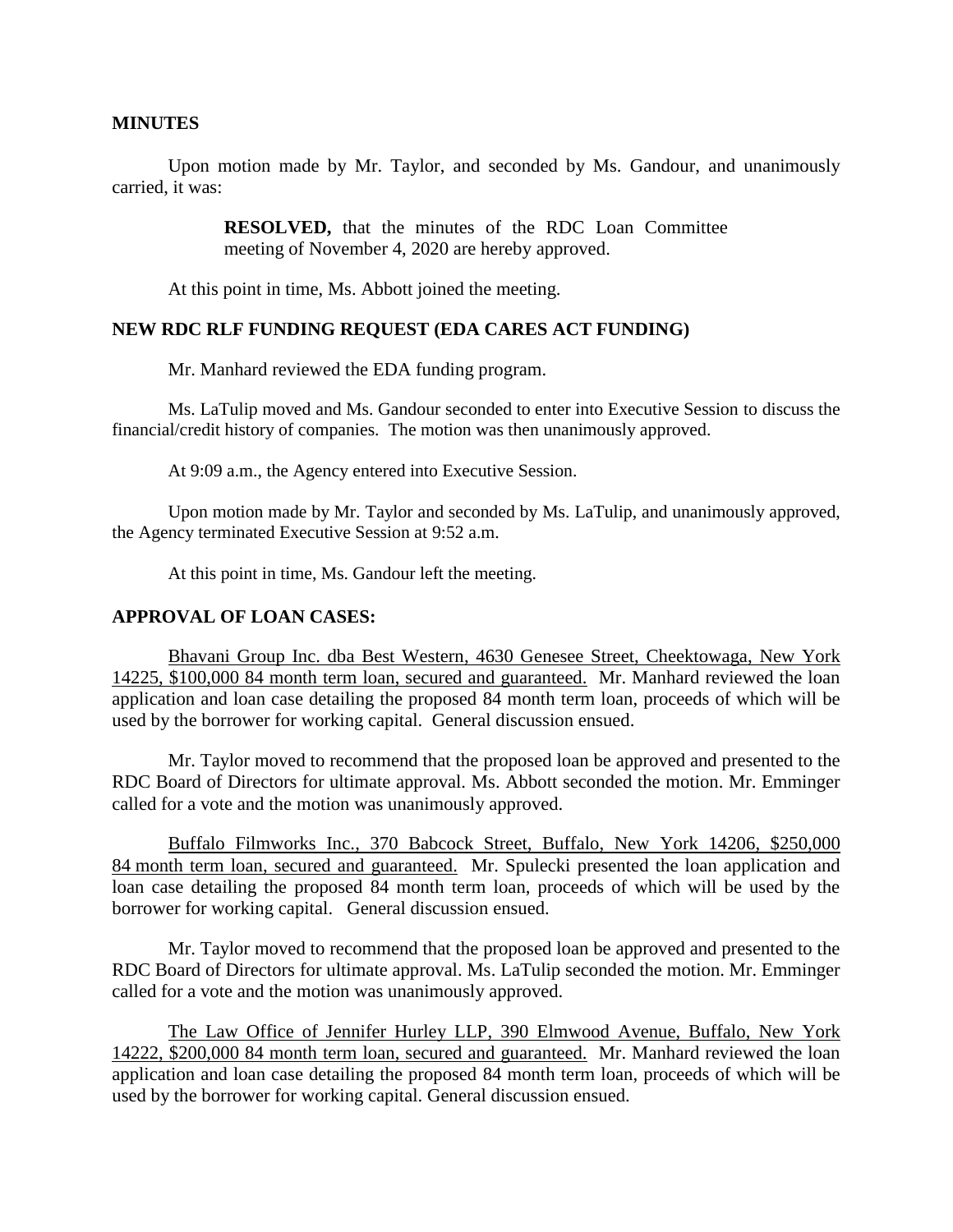## **MINUTES**

Upon motion made by Mr. Taylor, and seconded by Ms. Gandour, and unanimously carried, it was:

> **RESOLVED,** that the minutes of the RDC Loan Committee meeting of November 4, 2020 are hereby approved.

At this point in time, Ms. Abbott joined the meeting.

## **NEW RDC RLF FUNDING REQUEST (EDA CARES ACT FUNDING)**

Mr. Manhard reviewed the EDA funding program.

Ms. LaTulip moved and Ms. Gandour seconded to enter into Executive Session to discuss the financial/credit history of companies. The motion was then unanimously approved.

At 9:09 a.m., the Agency entered into Executive Session.

Upon motion made by Mr. Taylor and seconded by Ms. LaTulip, and unanimously approved, the Agency terminated Executive Session at 9:52 a.m.

At this point in time, Ms. Gandour left the meeting.

## **APPROVAL OF LOAN CASES:**

Bhavani Group Inc. dba Best Western, 4630 Genesee Street, Cheektowaga, New York 14225, \$100,000 84 month term loan, secured and guaranteed. Mr. Manhard reviewed the loan application and loan case detailing the proposed 84 month term loan, proceeds of which will be used by the borrower for working capital. General discussion ensued.

Mr. Taylor moved to recommend that the proposed loan be approved and presented to the RDC Board of Directors for ultimate approval. Ms. Abbott seconded the motion. Mr. Emminger called for a vote and the motion was unanimously approved.

Buffalo Filmworks Inc., 370 Babcock Street, Buffalo, New York 14206, \$250,000 84 month term loan, secured and guaranteed. Mr. Spulecki presented the loan application and loan case detailing the proposed 84 month term loan, proceeds of which will be used by the borrower for working capital. General discussion ensued.

Mr. Taylor moved to recommend that the proposed loan be approved and presented to the RDC Board of Directors for ultimate approval. Ms. LaTulip seconded the motion. Mr. Emminger called for a vote and the motion was unanimously approved.

The Law Office of Jennifer Hurley LLP, 390 Elmwood Avenue, Buffalo, New York 14222, \$200,000 84 month term loan, secured and guaranteed. Mr. Manhard reviewed the loan application and loan case detailing the proposed 84 month term loan, proceeds of which will be used by the borrower for working capital. General discussion ensued.